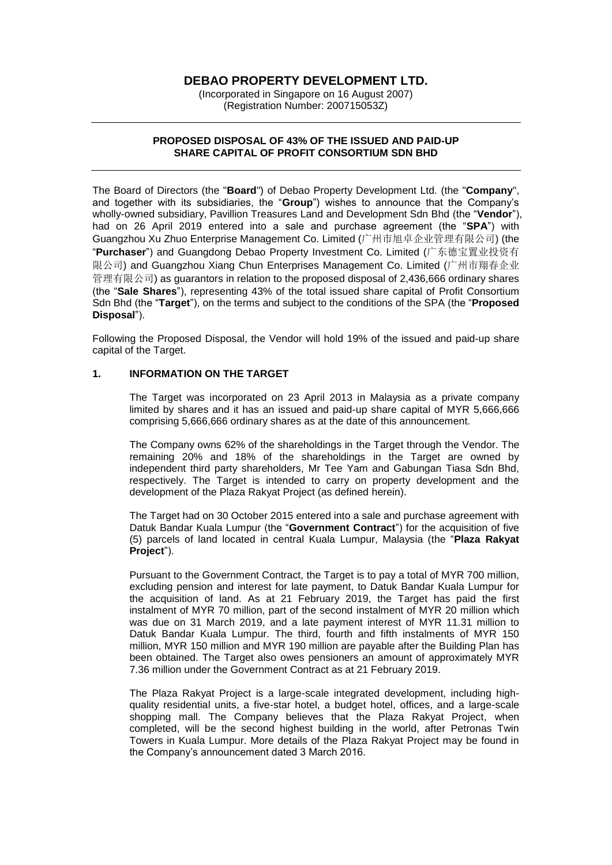# **DEBAO PROPERTY DEVELOPMENT LTD.**

(Incorporated in Singapore on 16 August 2007) (Registration Number: 200715053Z)

### **PROPOSED DISPOSAL OF 43% OF THE ISSUED AND PAID-UP SHARE CAPITAL OF PROFIT CONSORTIUM SDN BHD**

The Board of Directors (the "**Board**") of Debao Property Development Ltd. (the "**Company**", and together with its subsidiaries, the "**Group**") wishes to announce that the Company's wholly-owned subsidiary, Pavillion Treasures Land and Development Sdn Bhd (the "**Vendor**"), had on 26 April 2019 entered into a sale and purchase agreement (the "**SPA**") with Guangzhou Xu Zhuo Enterprise Management Co. Limited (广州市旭卓企业管理有限公司) (the "**Purchaser**") and Guangdong Debao Property Investment Co. Limited (广东德宝置业投资有 限公司) and Guangzhou Xiang Chun Enterprises Management Co. Limited (广州市翔春企业 管理有限公司) as guarantors in relation to the proposed disposal of 2,436,666 ordinary shares (the "**Sale Shares**"), representing 43% of the total issued share capital of Profit Consortium Sdn Bhd (the "**Target**"), on the terms and subject to the conditions of the SPA (the "**Proposed Disposal**").

Following the Proposed Disposal, the Vendor will hold 19% of the issued and paid-up share capital of the Target.

## **1. INFORMATION ON THE TARGET**

The Target was incorporated on 23 April 2013 in Malaysia as a private company limited by shares and it has an issued and paid-up share capital of MYR 5,666,666 comprising 5,666,666 ordinary shares as at the date of this announcement.

The Company owns 62% of the shareholdings in the Target through the Vendor. The remaining 20% and 18% of the shareholdings in the Target are owned by independent third party shareholders, Mr Tee Yam and Gabungan Tiasa Sdn Bhd, respectively. The Target is intended to carry on property development and the development of the Plaza Rakyat Project (as defined herein).

The Target had on 30 October 2015 entered into a sale and purchase agreement with Datuk Bandar Kuala Lumpur (the "**Government Contract**") for the acquisition of five (5) parcels of land located in central Kuala Lumpur, Malaysia (the "**Plaza Rakyat Project**").

Pursuant to the Government Contract, the Target is to pay a total of MYR 700 million, excluding pension and interest for late payment, to Datuk Bandar Kuala Lumpur for the acquisition of land. As at 21 February 2019, the Target has paid the first instalment of MYR 70 million, part of the second instalment of MYR 20 million which was due on 31 March 2019, and a late payment interest of MYR 11.31 million to Datuk Bandar Kuala Lumpur. The third, fourth and fifth instalments of MYR 150 million, MYR 150 million and MYR 190 million are payable after the Building Plan has been obtained. The Target also owes pensioners an amount of approximately MYR 7.36 million under the Government Contract as at 21 February 2019.

The Plaza Rakyat Project is a large-scale integrated development, including highquality residential units, a five-star hotel, a budget hotel, offices, and a large-scale shopping mall. The Company believes that the Plaza Rakyat Project, when completed, will be the second highest building in the world, after Petronas Twin Towers in Kuala Lumpur. More details of the Plaza Rakyat Project may be found in the Company's announcement dated 3 March 2016.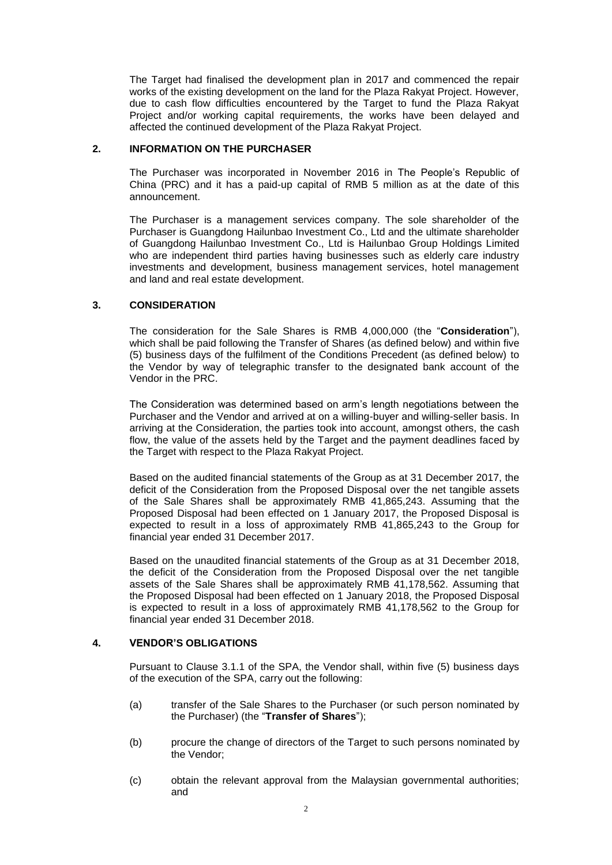The Target had finalised the development plan in 2017 and commenced the repair works of the existing development on the land for the Plaza Rakyat Project. However, due to cash flow difficulties encountered by the Target to fund the Plaza Rakyat Project and/or working capital requirements, the works have been delayed and affected the continued development of the Plaza Rakyat Project.

## **2. INFORMATION ON THE PURCHASER**

The Purchaser was incorporated in November 2016 in The People's Republic of China (PRC) and it has a paid-up capital of RMB 5 million as at the date of this announcement.

The Purchaser is a management services company. The sole shareholder of the Purchaser is Guangdong Hailunbao Investment Co., Ltd and the ultimate shareholder of Guangdong Hailunbao Investment Co., Ltd is Hailunbao Group Holdings Limited who are independent third parties having businesses such as elderly care industry investments and development, business management services, hotel management and land and real estate development.

## **3. CONSIDERATION**

The consideration for the Sale Shares is RMB 4,000,000 (the "**Consideration**"), which shall be paid following the Transfer of Shares (as defined below) and within five (5) business days of the fulfilment of the Conditions Precedent (as defined below) to the Vendor by way of telegraphic transfer to the designated bank account of the Vendor in the PRC.

The Consideration was determined based on arm's length negotiations between the Purchaser and the Vendor and arrived at on a willing-buyer and willing-seller basis. In arriving at the Consideration, the parties took into account, amongst others, the cash flow, the value of the assets held by the Target and the payment deadlines faced by the Target with respect to the Plaza Rakyat Project.

Based on the audited financial statements of the Group as at 31 December 2017, the deficit of the Consideration from the Proposed Disposal over the net tangible assets of the Sale Shares shall be approximately RMB 41,865,243. Assuming that the Proposed Disposal had been effected on 1 January 2017, the Proposed Disposal is expected to result in a loss of approximately RMB 41,865,243 to the Group for financial year ended 31 December 2017.

Based on the unaudited financial statements of the Group as at 31 December 2018, the deficit of the Consideration from the Proposed Disposal over the net tangible assets of the Sale Shares shall be approximately RMB 41,178,562. Assuming that the Proposed Disposal had been effected on 1 January 2018, the Proposed Disposal is expected to result in a loss of approximately RMB 41,178,562 to the Group for financial year ended 31 December 2018.

## **4. VENDOR'S OBLIGATIONS**

Pursuant to Clause 3.1.1 of the SPA, the Vendor shall, within five (5) business days of the execution of the SPA, carry out the following:

- (a) transfer of the Sale Shares to the Purchaser (or such person nominated by the Purchaser) (the "**Transfer of Shares**");
- (b) procure the change of directors of the Target to such persons nominated by the Vendor;
- (c) obtain the relevant approval from the Malaysian governmental authorities; and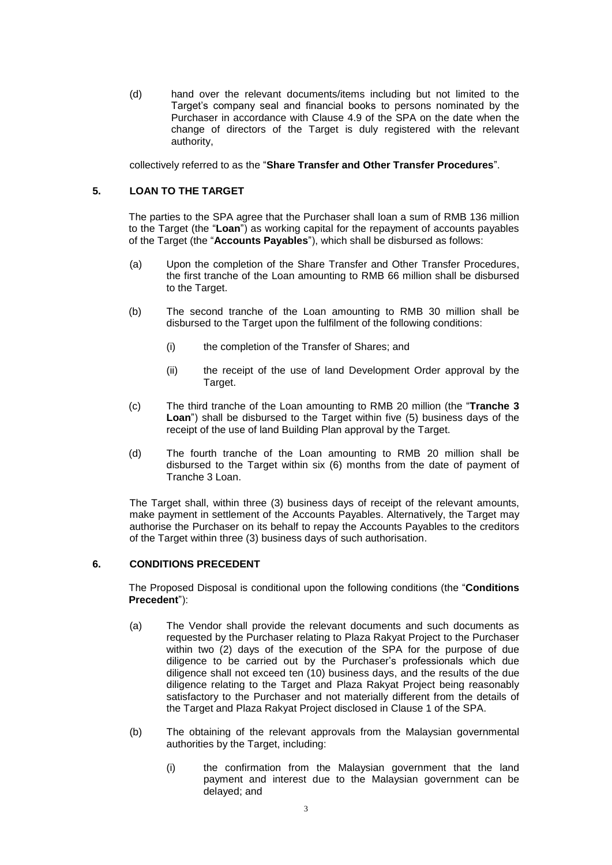(d) hand over the relevant documents/items including but not limited to the Target's company seal and financial books to persons nominated by the Purchaser in accordance with Clause 4.9 of the SPA on the date when the change of directors of the Target is duly registered with the relevant authority,

collectively referred to as the "**Share Transfer and Other Transfer Procedures**".

## **5. LOAN TO THE TARGET**

The parties to the SPA agree that the Purchaser shall loan a sum of RMB 136 million to the Target (the "**Loan**") as working capital for the repayment of accounts payables of the Target (the "**Accounts Payables**"), which shall be disbursed as follows:

- (a) Upon the completion of the Share Transfer and Other Transfer Procedures, the first tranche of the Loan amounting to RMB 66 million shall be disbursed to the Target.
- (b) The second tranche of the Loan amounting to RMB 30 million shall be disbursed to the Target upon the fulfilment of the following conditions:
	- (i) the completion of the Transfer of Shares; and
	- (ii) the receipt of the use of land Development Order approval by the Target.
- (c) The third tranche of the Loan amounting to RMB 20 million (the "**Tranche 3 Loan**") shall be disbursed to the Target within five (5) business days of the receipt of the use of land Building Plan approval by the Target.
- (d) The fourth tranche of the Loan amounting to RMB 20 million shall be disbursed to the Target within six (6) months from the date of payment of Tranche 3 Loan.

The Target shall, within three (3) business days of receipt of the relevant amounts, make payment in settlement of the Accounts Payables. Alternatively, the Target may authorise the Purchaser on its behalf to repay the Accounts Payables to the creditors of the Target within three (3) business days of such authorisation.

## **6. CONDITIONS PRECEDENT**

The Proposed Disposal is conditional upon the following conditions (the "**Conditions Precedent**"):

- (a) The Vendor shall provide the relevant documents and such documents as requested by the Purchaser relating to Plaza Rakyat Project to the Purchaser within two (2) days of the execution of the SPA for the purpose of due diligence to be carried out by the Purchaser's professionals which due diligence shall not exceed ten (10) business days, and the results of the due diligence relating to the Target and Plaza Rakyat Project being reasonably satisfactory to the Purchaser and not materially different from the details of the Target and Plaza Rakyat Project disclosed in Clause 1 of the SPA.
- (b) The obtaining of the relevant approvals from the Malaysian governmental authorities by the Target, including:
	- (i) the confirmation from the Malaysian government that the land payment and interest due to the Malaysian government can be delayed; and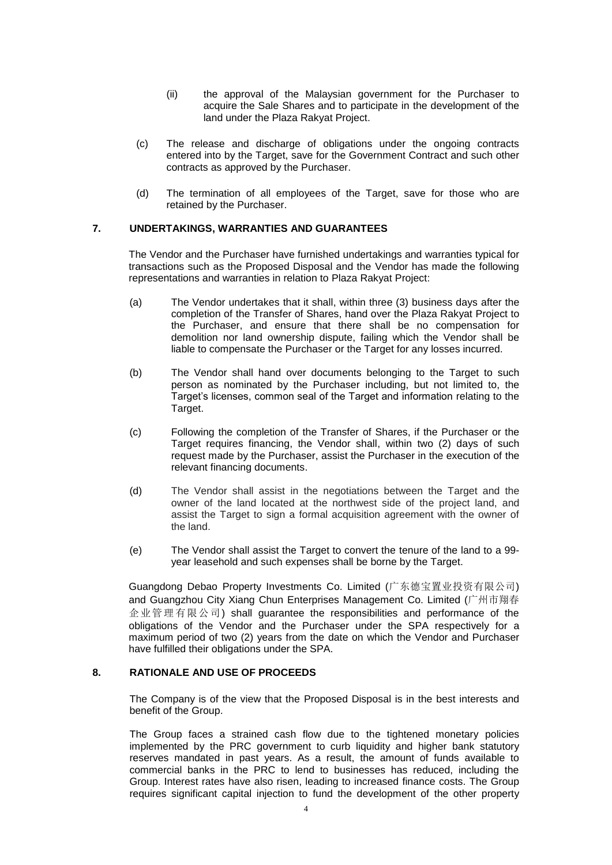- (ii) the approval of the Malaysian government for the Purchaser to acquire the Sale Shares and to participate in the development of the land under the Plaza Rakyat Project.
- (c) The release and discharge of obligations under the ongoing contracts entered into by the Target, save for the Government Contract and such other contracts as approved by the Purchaser.
- (d) The termination of all employees of the Target, save for those who are retained by the Purchaser.

## **7. UNDERTAKINGS, WARRANTIES AND GUARANTEES**

The Vendor and the Purchaser have furnished undertakings and warranties typical for transactions such as the Proposed Disposal and the Vendor has made the following representations and warranties in relation to Plaza Rakyat Project:

- (a) The Vendor undertakes that it shall, within three (3) business days after the completion of the Transfer of Shares, hand over the Plaza Rakyat Project to the Purchaser, and ensure that there shall be no compensation for demolition nor land ownership dispute, failing which the Vendor shall be liable to compensate the Purchaser or the Target for any losses incurred.
- (b) The Vendor shall hand over documents belonging to the Target to such person as nominated by the Purchaser including, but not limited to, the Target's licenses, common seal of the Target and information relating to the Target.
- (c) Following the completion of the Transfer of Shares, if the Purchaser or the Target requires financing, the Vendor shall, within two (2) days of such request made by the Purchaser, assist the Purchaser in the execution of the relevant financing documents.
- (d) The Vendor shall assist in the negotiations between the Target and the owner of the land located at the northwest side of the project land, and assist the Target to sign a formal acquisition agreement with the owner of the land.
- (e) The Vendor shall assist the Target to convert the tenure of the land to a 99 year leasehold and such expenses shall be borne by the Target.

Guangdong Debao Property Investments Co. Limited (广东德宝置业投资有限公司) and Guangzhou City Xiang Chun Enterprises Management Co. Limited (广州市翔春 企业管理有限公司) shall guarantee the responsibilities and performance of the obligations of the Vendor and the Purchaser under the SPA respectively for a maximum period of two (2) years from the date on which the Vendor and Purchaser have fulfilled their obligations under the SPA.

## **8. RATIONALE AND USE OF PROCEEDS**

The Company is of the view that the Proposed Disposal is in the best interests and benefit of the Group.

The Group faces a strained cash flow due to the tightened monetary policies implemented by the PRC government to curb liquidity and higher bank statutory reserves mandated in past years. As a result, the amount of funds available to commercial banks in the PRC to lend to businesses has reduced, including the Group. Interest rates have also risen, leading to increased finance costs. The Group requires significant capital injection to fund the development of the other property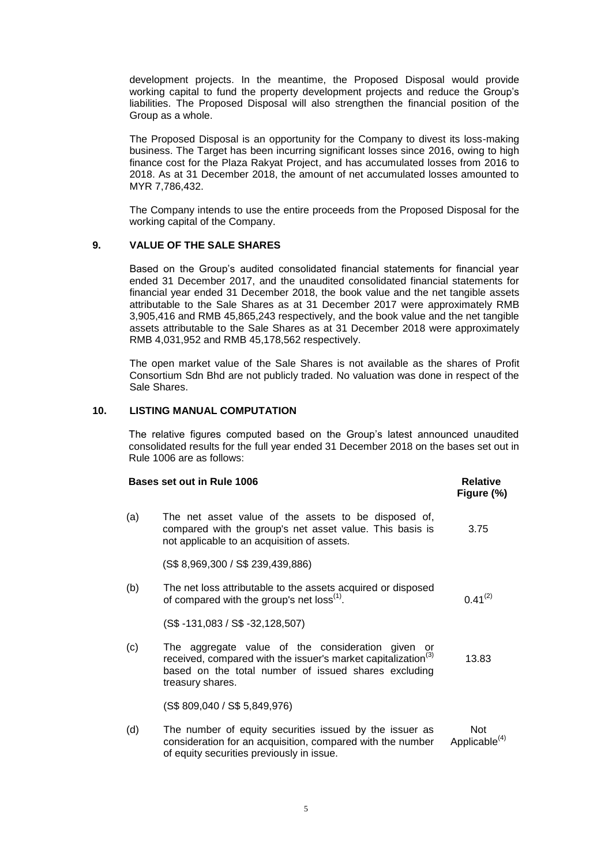development projects. In the meantime, the Proposed Disposal would provide working capital to fund the property development projects and reduce the Group's liabilities. The Proposed Disposal will also strengthen the financial position of the Group as a whole.

The Proposed Disposal is an opportunity for the Company to divest its loss-making business. The Target has been incurring significant losses since 2016, owing to high finance cost for the Plaza Rakyat Project, and has accumulated losses from 2016 to 2018. As at 31 December 2018, the amount of net accumulated losses amounted to MYR 7,786,432.

The Company intends to use the entire proceeds from the Proposed Disposal for the working capital of the Company.

## **9. VALUE OF THE SALE SHARES**

Based on the Group's audited consolidated financial statements for financial year ended 31 December 2017, and the unaudited consolidated financial statements for financial year ended 31 December 2018, the book value and the net tangible assets attributable to the Sale Shares as at 31 December 2017 were approximately RMB 3,905,416 and RMB 45,865,243 respectively, and the book value and the net tangible assets attributable to the Sale Shares as at 31 December 2018 were approximately RMB 4,031,952 and RMB 45,178,562 respectively.

The open market value of the Sale Shares is not available as the shares of Profit Consortium Sdn Bhd are not publicly traded. No valuation was done in respect of the Sale Shares.

## **10. LISTING MANUAL COMPUTATION**

The relative figures computed based on the Group's latest announced unaudited consolidated results for the full year ended 31 December 2018 on the bases set out in Rule 1006 are as follows:

| Bases set out in Rule 1006 | <b>Relative</b><br>Figure (%)                                                                                                                                                                              |                                         |
|----------------------------|------------------------------------------------------------------------------------------------------------------------------------------------------------------------------------------------------------|-----------------------------------------|
| (a)                        | The net asset value of the assets to be disposed of,<br>compared with the group's net asset value. This basis is<br>not applicable to an acquisition of assets.                                            | 3.75                                    |
|                            | (S\$ 8,969,300 / S\$ 239,439,886)                                                                                                                                                                          |                                         |
| (b)                        | The net loss attributable to the assets acquired or disposed<br>of compared with the group's net loss <sup>(1)</sup> .                                                                                     | $0.41^{(2)}$                            |
|                            | $(S$ -131,083 / S$ -32,128,507)$                                                                                                                                                                           |                                         |
| (c)                        | The aggregate value of the consideration given or<br>received, compared with the issuer's market capitalization <sup>(3)</sup><br>based on the total number of issued shares excluding<br>treasury shares. | 13.83                                   |
|                            | (S\$ 809,040 / S\$ 5,849,976)                                                                                                                                                                              |                                         |
| (d)                        | The number of equity securities issued by the issuer as<br>consideration for an acquisition, compared with the number<br>of equity securities previously in issue.                                         | <b>Not</b><br>Applicable <sup>(4)</sup> |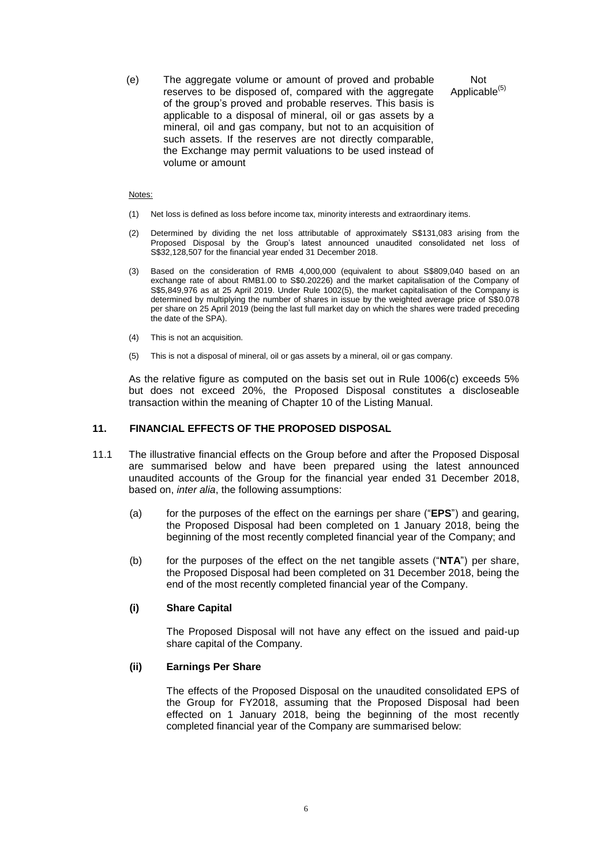(e) The aggregate volume or amount of proved and probable reserves to be disposed of, compared with the aggregate of the group's proved and probable reserves. This basis is applicable to a disposal of mineral, oil or gas assets by a mineral, oil and gas company, but not to an acquisition of such assets. If the reserves are not directly comparable, the Exchange may permit valuations to be used instead of volume or amount

Not Applicable<sup>(5)</sup>

#### Notes:

- (1) Net loss is defined as loss before income tax, minority interests and extraordinary items.
- (2) Determined by dividing the net loss attributable of approximately S\$131,083 arising from the Proposed Disposal by the Group's latest announced unaudited consolidated net loss of S\$32,128,507 for the financial year ended 31 December 2018.
- (3) Based on the consideration of RMB 4,000,000 (equivalent to about S\$809,040 based on an exchange rate of about RMB1.00 to S\$0.20226) and the market capitalisation of the Company of S\$5,849,976 as at 25 April 2019. Under Rule 1002(5), the market capitalisation of the Company is determined by multiplying the number of shares in issue by the weighted average price of S\$0.078 per share on 25 April 2019 (being the last full market day on which the shares were traded preceding the date of the SPA).
- (4) This is not an acquisition.
- (5) This is not a disposal of mineral, oil or gas assets by a mineral, oil or gas company.

As the relative figure as computed on the basis set out in Rule 1006(c) exceeds 5% but does not exceed 20%, the Proposed Disposal constitutes a discloseable transaction within the meaning of Chapter 10 of the Listing Manual.

## **11. FINANCIAL EFFECTS OF THE PROPOSED DISPOSAL**

- 11.1 The illustrative financial effects on the Group before and after the Proposed Disposal are summarised below and have been prepared using the latest announced unaudited accounts of the Group for the financial year ended 31 December 2018, based on, *inter alia*, the following assumptions:
	- (a) for the purposes of the effect on the earnings per share ("**EPS**") and gearing, the Proposed Disposal had been completed on 1 January 2018, being the beginning of the most recently completed financial year of the Company; and
	- (b) for the purposes of the effect on the net tangible assets ("**NTA**") per share, the Proposed Disposal had been completed on 31 December 2018, being the end of the most recently completed financial year of the Company.

#### **(i) Share Capital**

The Proposed Disposal will not have any effect on the issued and paid-up share capital of the Company.

#### **(ii) Earnings Per Share**

The effects of the Proposed Disposal on the unaudited consolidated EPS of the Group for FY2018, assuming that the Proposed Disposal had been effected on 1 January 2018, being the beginning of the most recently completed financial year of the Company are summarised below: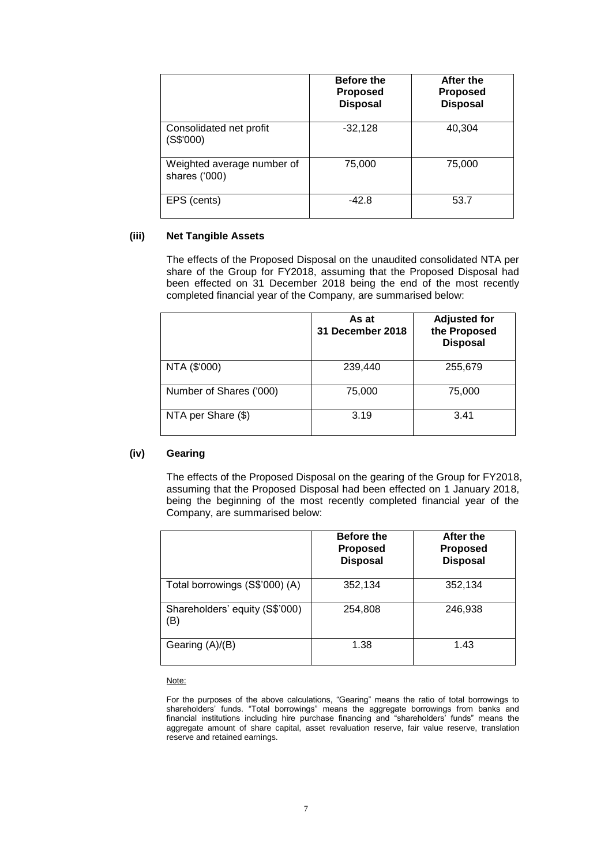|                                             | <b>Before the</b><br><b>Proposed</b><br><b>Disposal</b> | After the<br><b>Proposed</b><br><b>Disposal</b> |
|---------------------------------------------|---------------------------------------------------------|-------------------------------------------------|
| Consolidated net profit<br>(S\$'000)        | $-32,128$                                               | 40,304                                          |
| Weighted average number of<br>shares ('000) | 75,000                                                  | 75,000                                          |
| EPS (cents)                                 | $-42.8$                                                 | 53.7                                            |

### **(iii) Net Tangible Assets**

The effects of the Proposed Disposal on the unaudited consolidated NTA per share of the Group for FY2018, assuming that the Proposed Disposal had been effected on 31 December 2018 being the end of the most recently completed financial year of the Company, are summarised below:

|                         | As at<br>31 December 2018 | <b>Adjusted for</b><br>the Proposed<br><b>Disposal</b> |
|-------------------------|---------------------------|--------------------------------------------------------|
| NTA (\$'000)            | 239,440                   | 255,679                                                |
| Number of Shares ('000) | 75,000                    | 75,000                                                 |
| NTA per Share (\$)      | 3.19                      | 3.41                                                   |

## **(iv) Gearing**

The effects of the Proposed Disposal on the gearing of the Group for FY2018, assuming that the Proposed Disposal had been effected on 1 January 2018, being the beginning of the most recently completed financial year of the Company, are summarised below:

|                                       | <b>Before the</b><br><b>Proposed</b><br><b>Disposal</b> | After the<br><b>Proposed</b><br><b>Disposal</b> |
|---------------------------------------|---------------------------------------------------------|-------------------------------------------------|
| Total borrowings (S\$'000) (A)        | 352,134                                                 | 352,134                                         |
| Shareholders' equity (S\$'000)<br>ΈB) | 254,808                                                 | 246,938                                         |
| Gearing (A)/(B)                       | 1.38                                                    | 1.43                                            |

Note:

For the purposes of the above calculations, "Gearing" means the ratio of total borrowings to shareholders' funds. "Total borrowings" means the aggregate borrowings from banks and financial institutions including hire purchase financing and "shareholders' funds" means the aggregate amount of share capital, asset revaluation reserve, fair value reserve, translation reserve and retained earnings.